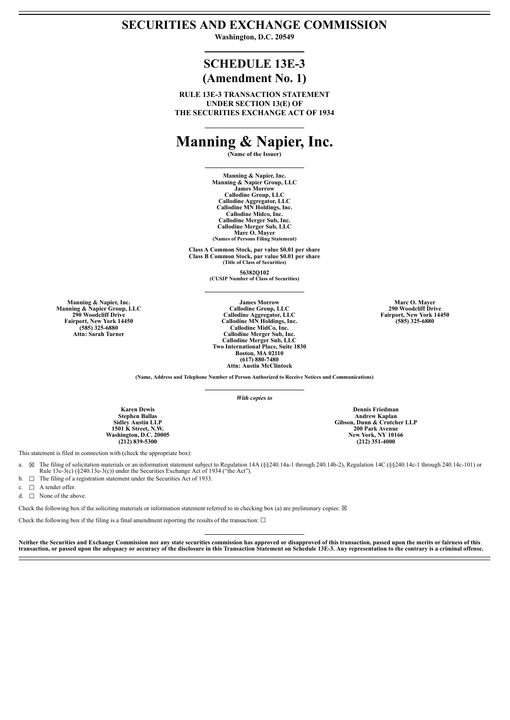### **SECURITIES AND EXCHANGE COMMISSION**

**Washington, D.C. 20549**

## **SCHEDULE 13E-3 (Amendment No. 1)**

**RULE 13E-3 TRANSACTION STATEMENT UNDER SECTION 13(E) OF THE SECURITIES EXCHANGE ACT OF 1934**

# **Manning & Napier, Inc.**

**(Name of the Issuer)**

**Manning & Napier, Inc. Manning & Napier Group, LLC James Morrow Callodine Group, LLC Callodine Aggregator, LLC Callodine MN Holdings, Inc. Callodine Midco, Inc. Callodine Merger Sub, Inc. Callodine Merger Sub, LLC Marc O. Mayer (Names of Persons Filing Statement)**

**Class A Common Stock, par value \$0.01 per share Class B Common Stock, par value \$0.01 per share (Title of Class of Securities)**

**56382Q102 (CUSIP Number of Class of Securities)**

**Manning & Napier, Inc. Manning & Napier Group, LLC 290 Woodcliff Drive Fairport, New York 14450 (585) 325-6880 Attn: Sarah Turner**

**James Morrow Callodine Group, LLC Callodine Aggregator, LLC Callodine MN Holdings, Inc. Callodine MidCo, Inc. Callodine Merger Sub, Inc. Callodine Merger Sub, LLC Two International Place, Suite 1830 Boston, MA 02110 (617) 880-7480 Attn: Austin McClintock**

**Marc O. Mayer 290 Woodcliff Drive Fairport, New York 14450 (585) 325-6880**

**(Name, Address and Telephone Number of Person Authorized to Receive Notices and Communications)**

*With copies to*

**Dennis Friedman Andrew Kaplan Gibson, Dunn & Crutcher LLP 200 Park Avenue New York, NY 10166 (212) 351-4000**

**Karen Dewis Stephen Ballas Sidley Austin LLP 1501 K Street, N.W. Washington, D.C. 20005 (212) 839-5300**

This statement is filed in connection with (check the appropriate box):

- a. ☒ The filing of solicitation materials or an information statement subject to Regulation 14A (§§240.14a-1 through 240.14b-2), Regulation 14C (§§240.14c-1 through 240.14c-101) or Rule  $13e-3(c)$  (§240.13e-3(c)) under the Securities Exchange Act of 1934 ("the Act").
- b.  $\Box$  The filing of a registration statement under the Securities Act of 1933.
- c. □ A tender offer.
- d.  $\Box$  None of the above

Check the following box if the soliciting materials or information statement referred to in checking box (a) are preliminary copies:  $\boxtimes$ 

Check the following box if the filing is a final amendment reporting the results of the transaction:  $\Box$ 

Neither the Securities and Exchange Commission nor any state securities commission has approved or disapproved of this transaction, passed upon the merits or fairness of this transaction, or passed upon the adequacy or accuracy of the disclosure in this Transaction Statement on Schedule 13E-3. Any representation to the contrary is a criminal offense.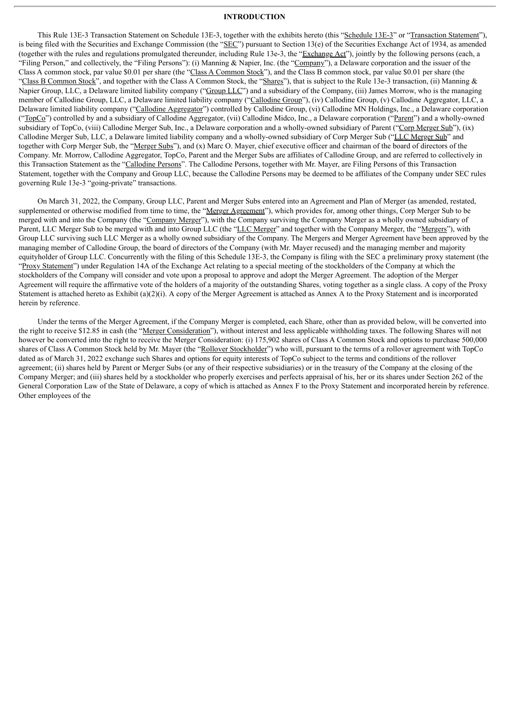#### **INTRODUCTION**

This Rule 13E-3 Transaction Statement on Schedule 13E-3, together with the exhibits hereto (this "Schedule 13E-3" or "Transaction Statement"), is being filed with the Securities and Exchange Commission (the "SEC") pursuant to Section 13(e) of the Securities Exchange Act of 1934, as amended (together with the rules and regulations promulgated thereunder, including Rule 13e-3, the "Exchange Act"), jointly by the following persons (each, a "Filing Person," and collectively, the "Filing Persons"): (i) Manning & Napier, Inc. (the "Company"), a Delaware corporation and the issuer of the Class A common stock, par value \$0.01 per share (the "Class A Common Stock"), and the Class B common stock, par value \$0.01 per share (the "Class B Common Stock", and together with the Class A Common Stock, the "Shares"), that is subject to the Rule 13e-3 transaction, (ii) Manning & Napier Group, LLC, a Delaware limited liability company ("Group LLC") and a subsidiary of the Company, (iii) James Morrow, who is the managing member of Callodine Group, LLC, a Delaware limited liability company ("Callodine Group"), (iv) Callodine Group, (v) Callodine Aggregator, LLC, a Delaware limited liability company ("Callodine Aggregator") controlled by Callodine Group, (vi) Callodine MN Holdings, Inc., a Delaware corporation ("TopCo") controlled by and a subsidiary of Callodine Aggregator, (vii) Callodine Midco, Inc., a Delaware corporation ("Parent") and a wholly-owned subsidiary of TopCo, (viii) Callodine Merger Sub, Inc., a Delaware corporation and a wholly-owned subsidiary of Parent ("Corp Merger Sub"), (ix) Callodine Merger Sub, LLC, a Delaware limited liability company and a wholly-owned subsidiary of Corp Merger Sub ("LLC Merger Sub" and together with Corp Merger Sub, the "Merger Subs"), and (x) Marc O. Mayer, chief executive officer and chairman of the board of directors of the Company. Mr. Morrow, Callodine Aggregator, TopCo, Parent and the Merger Subs are affiliates of Callodine Group, and are referred to collectively in this Transaction Statement as the "Callodine Persons". The Callodine Persons, together with Mr. Mayer, are Filing Persons of this Transaction Statement, together with the Company and Group LLC, because the Callodine Persons may be deemed to be affiliates of the Company under SEC rules governing Rule 13e-3 "going-private" transactions.

On March 31, 2022, the Company, Group LLC, Parent and Merger Subs entered into an Agreement and Plan of Merger (as amended, restated, supplemented or otherwise modified from time to time, the "Merger Agreement"), which provides for, among other things, Corp Merger Sub to be merged with and into the Company (the "Company Merger"), with the Company surviving the Company Merger as a wholly owned subsidiary of Parent, LLC Merger Sub to be merged with and into Group LLC (the "LLC Merger" and together with the Company Merger, the "Mergers"), with Group LLC surviving such LLC Merger as a wholly owned subsidiary of the Company. The Mergers and Merger Agreement have been approved by the managing member of Callodine Group, the board of directors of the Company (with Mr. Mayer recused) and the managing member and majority equityholder of Group LLC. Concurrently with the filing of this Schedule 13E-3, the Company is filing with the SEC a preliminary proxy statement (the "Proxy Statement") under Regulation 14A of the Exchange Act relating to a special meeting of the stockholders of the Company at which the stockholders of the Company will consider and vote upon a proposal to approve and adopt the Merger Agreement. The adoption of the Merger Agreement will require the affirmative vote of the holders of a majority of the outstanding Shares, voting together as a single class. A copy of the Proxy Statement is attached hereto as Exhibit (a)(2)(i). A copy of the Merger Agreement is attached as Annex A to the Proxy Statement and is incorporated herein by reference.

Under the terms of the Merger Agreement, if the Company Merger is completed, each Share, other than as provided below, will be converted into the right to receive \$12.85 in cash (the "Merger Consideration"), without interest and less applicable withholding taxes. The following Shares will not however be converted into the right to receive the Merger Consideration: (i) 175,902 shares of Class A Common Stock and options to purchase 500,000 shares of Class A Common Stock held by Mr. Mayer (the "Rollover Stockholder") who will, pursuant to the terms of a rollover agreement with TopCo dated as of March 31, 2022 exchange such Shares and options for equity interests of TopCo subject to the terms and conditions of the rollover agreement; (ii) shares held by Parent or Merger Subs (or any of their respective subsidiaries) or in the treasury of the Company at the closing of the Company Merger; and (iii) shares held by a stockholder who properly exercises and perfects appraisal of his, her or its shares under Section 262 of the General Corporation Law of the State of Delaware, a copy of which is attached as Annex F to the Proxy Statement and incorporated herein by reference. Other employees of the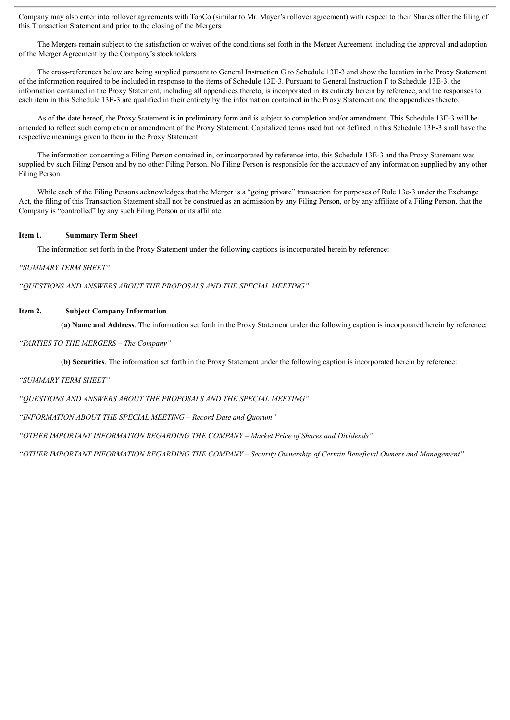Company may also enter into rollover agreements with TopCo (similar to Mr. Mayer's rollover agreement) with respect to their Shares after the filing of this Transaction Statement and prior to the closing of the Mergers.

The Mergers remain subject to the satisfaction or waiver of the conditions set forth in the Merger Agreement, including the approval and adoption of the Merger Agreement by the Company's stockholders.

The cross-references below are being supplied pursuant to General Instruction G to Schedule 13E-3 and show the location in the Proxy Statement of the information required to be included in response to the items of Schedule 13E-3. Pursuant to General Instruction F to Schedule 13E-3, the information contained in the Proxy Statement, including all appendices thereto, is incorporated in its entirety herein by reference, and the responses to each item in this Schedule 13E-3 are qualified in their entirety by the information contained in the Proxy Statement and the appendices thereto.

As of the date hereof, the Proxy Statement is in preliminary form and is subject to completion and/or amendment. This Schedule 13E-3 will be amended to reflect such completion or amendment of the Proxy Statement. Capitalized terms used but not defined in this Schedule 13E-3 shall have the respective meanings given to them in the Proxy Statement.

The information concerning a Filing Person contained in, or incorporated by reference into, this Schedule 13E-3 and the Proxy Statement was supplied by such Filing Person and by no other Filing Person. No Filing Person is responsible for the accuracy of any information supplied by any other Filing Person.

While each of the Filing Persons acknowledges that the Merger is a "going private" transaction for purposes of Rule 13e-3 under the Exchange Act, the filing of this Transaction Statement shall not be construed as an admission by any Filing Person, or by any affiliate of a Filing Person, that the Company is "controlled" by any such Filing Person or its affiliate.

#### **Item 1. Summary Term Sheet**

The information set forth in the Proxy Statement under the following captions is incorporated herein by reference:

#### *"SUMMARY TERM SHEET"*

*"QUESTIONS AND ANSWERS ABOUT THE PROPOSALS AND THE SPECIAL MEETING"*

#### **Item 2. Subject Company Information**

**(a) Name and Address**. The information set forth in the Proxy Statement under the following caption is incorporated herein by reference:

#### *"PARTIES TO THE MERGERS – The Company"*

**(b) Securities**. The information set forth in the Proxy Statement under the following caption is incorporated herein by reference:

*"SUMMARY TERM SHEET"*

*"QUESTIONS AND ANSWERS ABOUT THE PROPOSALS AND THE SPECIAL MEETING"*

*"INFORMATION ABOUT THE SPECIAL MEETING – Record Date and Quorum"*

*"OTHER IMPORTANT INFORMATION REGARDING THE COMPANY – Market Price of Shares and Dividends"*

*"OTHER IMPORTANT INFORMATION REGARDING THE COMPANY – Security Ownership of Certain Beneficial Owners and Management"*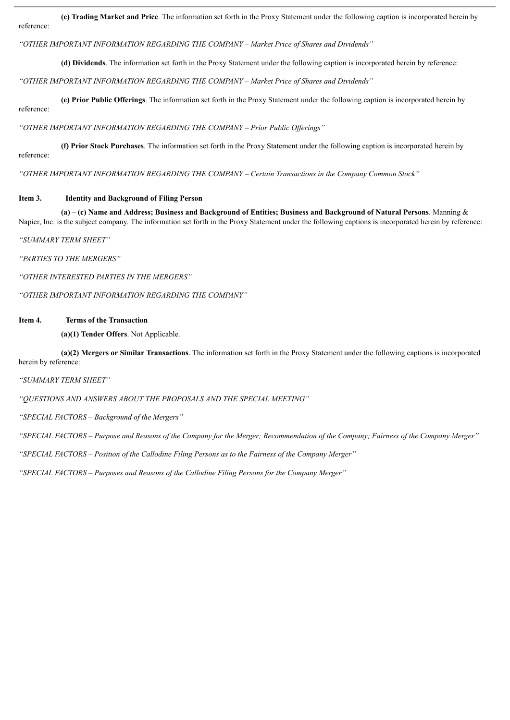**(c) Trading Market and Price**. The information set forth in the Proxy Statement under the following caption is incorporated herein by reference:

*"OTHER IMPORTANT INFORMATION REGARDING THE COMPANY – Market Price of Shares and Dividends"*

**(d) Dividends**. The information set forth in the Proxy Statement under the following caption is incorporated herein by reference:

*"OTHER IMPORTANT INFORMATION REGARDING THE COMPANY – Market Price of Shares and Dividends"*

**(e) Prior Public Offerings**. The information set forth in the Proxy Statement under the following caption is incorporated herein by reference:

*"OTHER IMPORTANT INFORMATION REGARDING THE COMPANY – Prior Public Of erings"*

**(f) Prior Stock Purchases**. The information set forth in the Proxy Statement under the following caption is incorporated herein by reference:

*"OTHER IMPORTANT INFORMATION REGARDING THE COMPANY – Certain Transactions in the Company Common Stock"*

#### **Item 3. Identity and Background of Filing Person**

(a) – (c) Name and Address; Business and Background of Entities; Business and Background of Natural Persons. Manning  $\&$ Napier, Inc. is the subject company. The information set forth in the Proxy Statement under the following captions is incorporated herein by reference:

*"SUMMARY TERM SHEET"*

*"PARTIES TO THE MERGERS"*

*"OTHER INTERESTED PARTIES IN THE MERGERS"*

*"OTHER IMPORTANT INFORMATION REGARDING THE COMPANY"*

#### **Item 4. Terms of the Transaction**

**(a)(1) Tender Offers**. Not Applicable.

**(a)(2) Mergers or Similar Transactions**. The information set forth in the Proxy Statement under the following captions is incorporated herein by reference:

*"SUMMARY TERM SHEET"*

*"QUESTIONS AND ANSWERS ABOUT THE PROPOSALS AND THE SPECIAL MEETING"*

*"SPECIAL FACTORS – Background of the Mergers"*

"SPECIAL FACTORS - Purpose and Reasons of the Company for the Merger; Recommendation of the Company; Fairness of the Company Merger"

*"SPECIAL FACTORS – Position of the Callodine Filing Persons as to the Fairness of the Company Merger"*

*"SPECIAL FACTORS – Purposes and Reasons of the Callodine Filing Persons for the Company Merger"*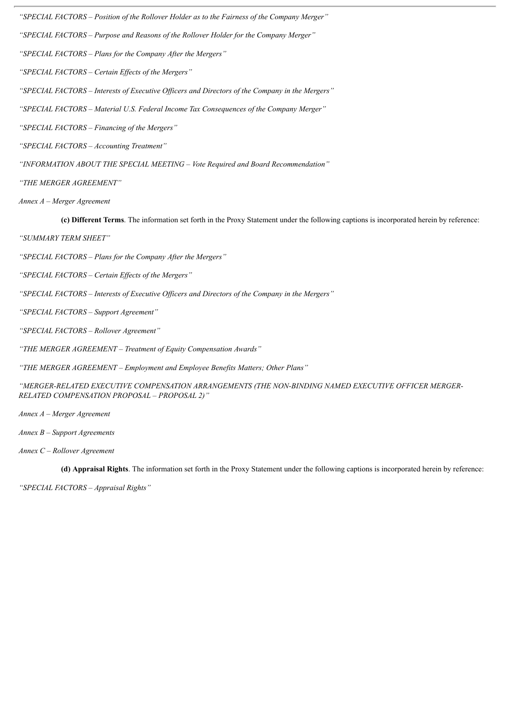*"SPECIAL FACTORS – Position of the Rollover Holder as to the Fairness of the Company Merger"*

*"SPECIAL FACTORS – Purpose and Reasons of the Rollover Holder for the Company Merger"*

*"SPECIAL FACTORS – Plans for the Company After the Mergers"*

*"SPECIAL FACTORS – Certain Ef ects of the Mergers"*

*"SPECIAL FACTORS – Interests of Executive Of icers and Directors of the Company in the Mergers"*

*"SPECIAL FACTORS – Material U.S. Federal Income Tax Consequences of the Company Merger"*

*"SPECIAL FACTORS – Financing of the Mergers"*

*"SPECIAL FACTORS – Accounting Treatment"*

*"INFORMATION ABOUT THE SPECIAL MEETING – Vote Required and Board Recommendation"*

*"THE MERGER AGREEMENT"*

*Annex A – Merger Agreement*

**(c) Different Terms**. The information set forth in the Proxy Statement under the following captions is incorporated herein by reference:

*"SUMMARY TERM SHEET"*

*"SPECIAL FACTORS – Plans for the Company After the Mergers"*

*"SPECIAL FACTORS – Certain Ef ects of the Mergers"*

*"SPECIAL FACTORS – Interests of Executive Of icers and Directors of the Company in the Mergers"*

*"SPECIAL FACTORS – Support Agreement"*

*"SPECIAL FACTORS – Rollover Agreement"*

*"THE MERGER AGREEMENT – Treatment of Equity Compensation Awards"*

*"THE MERGER AGREEMENT – Employment and Employee Benefits Matters; Other Plans"*

*"MERGER-RELATED EXECUTIVE COMPENSATION ARRANGEMENTS (THE NON-BINDING NAMED EXECUTIVE OFFICER MERGER-RELATED COMPENSATION PROPOSAL – PROPOSAL 2)"*

*Annex A – Merger Agreement*

*Annex B – Support Agreements*

*Annex C – Rollover Agreement*

**(d) Appraisal Rights**. The information set forth in the Proxy Statement under the following captions is incorporated herein by reference:

*"SPECIAL FACTORS – Appraisal Rights"*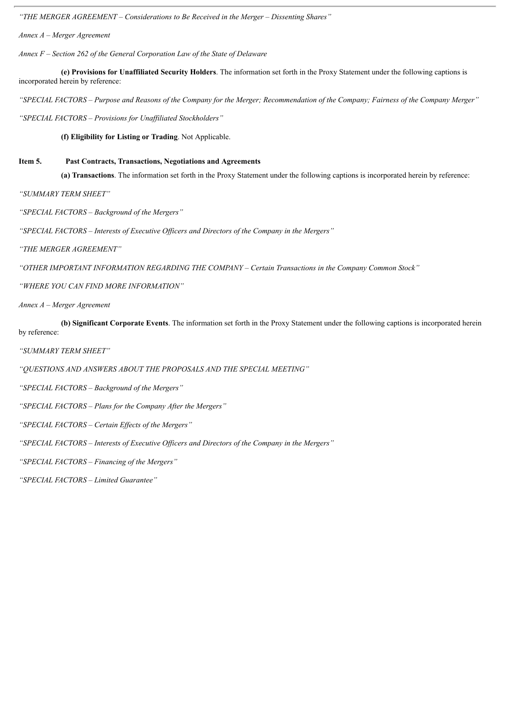*"THE MERGER AGREEMENT – Considerations to Be Received in the Merger – Dissenting Shares"*

*Annex A – Merger Agreement*

*Annex F – Section 262 of the General Corporation Law of the State of Delaware*

**(e) Provisions for Unaffiliated Security Holders**. The information set forth in the Proxy Statement under the following captions is incorporated herein by reference:

"SPECIAL FACTORS - Purpose and Reasons of the Company for the Merger; Recommendation of the Company; Fairness of the Company Merger"

*"SPECIAL FACTORS – Provisions for Unaf iliated Stockholders"*

**(f) Eligibility for Listing or Trading**. Not Applicable.

#### **Item 5. Past Contracts, Transactions, Negotiations and Agreements**

**(a) Transactions**. The information set forth in the Proxy Statement under the following captions is incorporated herein by reference:

*"SUMMARY TERM SHEET"*

*"SPECIAL FACTORS – Background of the Mergers"*

*"SPECIAL FACTORS – Interests of Executive Of icers and Directors of the Company in the Mergers"*

*"THE MERGER AGREEMENT"*

*"OTHER IMPORTANT INFORMATION REGARDING THE COMPANY – Certain Transactions in the Company Common Stock"*

*"WHERE YOU CAN FIND MORE INFORMATION"*

*Annex A – Merger Agreement*

**(b) Significant Corporate Events**. The information set forth in the Proxy Statement under the following captions is incorporated herein by reference:

*"SUMMARY TERM SHEET"*

*"QUESTIONS AND ANSWERS ABOUT THE PROPOSALS AND THE SPECIAL MEETING"*

*"SPECIAL FACTORS – Background of the Mergers"*

*"SPECIAL FACTORS – Plans for the Company After the Mergers"*

*"SPECIAL FACTORS – Certain Ef ects of the Mergers"*

*"SPECIAL FACTORS – Interests of Executive Of icers and Directors of the Company in the Mergers"*

*"SPECIAL FACTORS – Financing of the Mergers"*

*"SPECIAL FACTORS – Limited Guarantee"*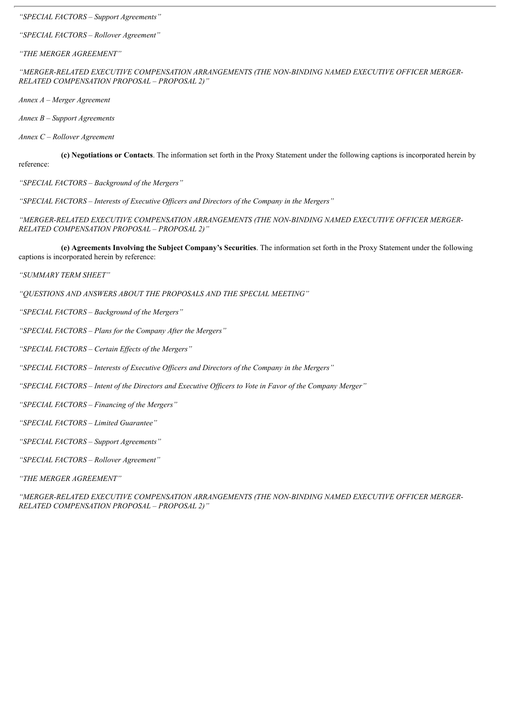*"SPECIAL FACTORS – Support Agreements"*

*"SPECIAL FACTORS – Rollover Agreement"*

*"THE MERGER AGREEMENT"*

*"MERGER-RELATED EXECUTIVE COMPENSATION ARRANGEMENTS (THE NON-BINDING NAMED EXECUTIVE OFFICER MERGER-RELATED COMPENSATION PROPOSAL – PROPOSAL 2)"*

*Annex A – Merger Agreement*

*Annex B – Support Agreements*

*Annex C – Rollover Agreement*

**(c) Negotiations or Contacts**. The information set forth in the Proxy Statement under the following captions is incorporated herein by reference:

*"SPECIAL FACTORS – Background of the Mergers"*

*"SPECIAL FACTORS – Interests of Executive Of icers and Directors of the Company in the Mergers"*

*"MERGER-RELATED EXECUTIVE COMPENSATION ARRANGEMENTS (THE NON-BINDING NAMED EXECUTIVE OFFICER MERGER-RELATED COMPENSATION PROPOSAL – PROPOSAL 2)"*

**(e) Agreements Involving the Subject Company's Securities**. The information set forth in the Proxy Statement under the following captions is incorporated herein by reference:

*"SUMMARY TERM SHEET"*

*"QUESTIONS AND ANSWERS ABOUT THE PROPOSALS AND THE SPECIAL MEETING"*

*"SPECIAL FACTORS – Background of the Mergers"*

*"SPECIAL FACTORS – Plans for the Company After the Mergers"*

*"SPECIAL FACTORS – Certain Ef ects of the Mergers"*

*"SPECIAL FACTORS – Interests of Executive Of icers and Directors of the Company in the Mergers"*

"SPECIAL FACTORS - Intent of the Directors and Executive Officers to Vote in Favor of the Company Merger"

*"SPECIAL FACTORS – Financing of the Mergers"*

*"SPECIAL FACTORS – Limited Guarantee"*

*"SPECIAL FACTORS – Support Agreements"*

*"SPECIAL FACTORS – Rollover Agreement"*

*"THE MERGER AGREEMENT"*

*"MERGER-RELATED EXECUTIVE COMPENSATION ARRANGEMENTS (THE NON-BINDING NAMED EXECUTIVE OFFICER MERGER-RELATED COMPENSATION PROPOSAL – PROPOSAL 2)"*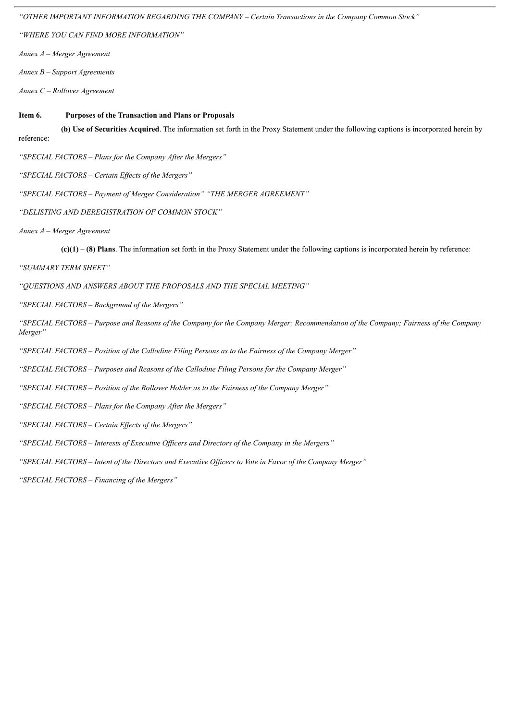*"OTHER IMPORTANT INFORMATION REGARDING THE COMPANY – Certain Transactions in the Company Common Stock"*

*"WHERE YOU CAN FIND MORE INFORMATION"*

*Annex A – Merger Agreement*

*Annex B – Support Agreements*

*Annex C – Rollover Agreement*

#### **Item 6. Purposes of the Transaction and Plans or Proposals**

**(b) Use of Securities Acquired**. The information set forth in the Proxy Statement under the following captions is incorporated herein by reference:

*"SPECIAL FACTORS – Plans for the Company After the Mergers"*

*"SPECIAL FACTORS – Certain Ef ects of the Mergers"*

*"SPECIAL FACTORS – Payment of Merger Consideration" "THE MERGER AGREEMENT"*

*"DELISTING AND DEREGISTRATION OF COMMON STOCK"*

*Annex A – Merger Agreement*

**(c)(1) – (8) Plans**. The information set forth in the Proxy Statement under the following captions is incorporated herein by reference:

*"SUMMARY TERM SHEET"*

*"QUESTIONS AND ANSWERS ABOUT THE PROPOSALS AND THE SPECIAL MEETING"*

*"SPECIAL FACTORS – Background of the Mergers"*

"SPECIAL FACTORS – Purpose and Reasons of the Company for the Company Merger; Recommendation of the Company; Fairness of the Company *Merger"*

*"SPECIAL FACTORS – Position of the Callodine Filing Persons as to the Fairness of the Company Merger"*

*"SPECIAL FACTORS – Purposes and Reasons of the Callodine Filing Persons for the Company Merger"*

*"SPECIAL FACTORS – Position of the Rollover Holder as to the Fairness of the Company Merger"*

*"SPECIAL FACTORS – Plans for the Company After the Mergers"*

*"SPECIAL FACTORS – Certain Ef ects of the Mergers"*

*"SPECIAL FACTORS – Interests of Executive Of icers and Directors of the Company in the Mergers"*

"SPECIAL FACTORS - Intent of the Directors and Executive Officers to Vote in Favor of the Company Merger"

*"SPECIAL FACTORS – Financing of the Mergers"*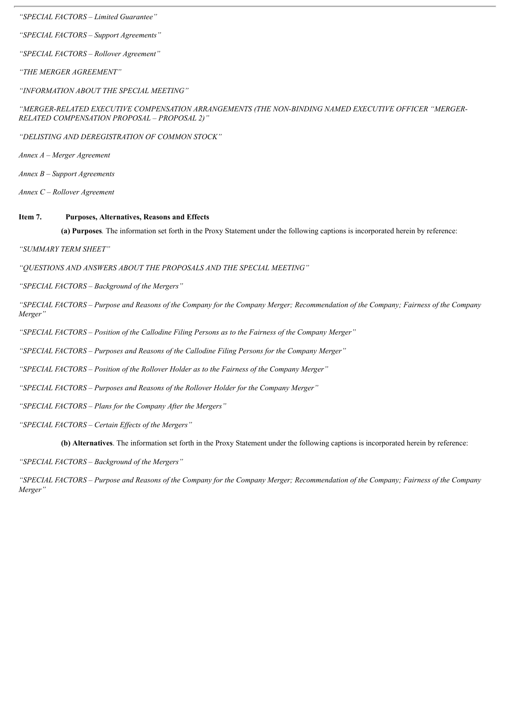*"SPECIAL FACTORS – Limited Guarantee"*

*"SPECIAL FACTORS – Support Agreements"*

*"SPECIAL FACTORS – Rollover Agreement"*

*"THE MERGER AGREEMENT"*

*"INFORMATION ABOUT THE SPECIAL MEETING"*

*"MERGER-RELATED EXECUTIVE COMPENSATION ARRANGEMENTS (THE NON-BINDING NAMED EXECUTIVE OFFICER "MERGER-RELATED COMPENSATION PROPOSAL – PROPOSAL 2)"*

*"DELISTING AND DEREGISTRATION OF COMMON STOCK"*

*Annex A – Merger Agreement*

*Annex B – Support Agreements*

*Annex C – Rollover Agreement*

#### **Item 7. Purposes, Alternatives, Reasons and Effects**

**(a) Purposes***.* The information set forth in the Proxy Statement under the following captions is incorporated herein by reference:

*"SUMMARY TERM SHEET"*

*"QUESTIONS AND ANSWERS ABOUT THE PROPOSALS AND THE SPECIAL MEETING"*

*"SPECIAL FACTORS – Background of the Mergers"*

"SPECIAL FACTORS – Purpose and Reasons of the Company for the Company Merger; Recommendation of the Company; Fairness of the Company *Merger"*

*"SPECIAL FACTORS – Position of the Callodine Filing Persons as to the Fairness of the Company Merger"*

*"SPECIAL FACTORS – Purposes and Reasons of the Callodine Filing Persons for the Company Merger"*

*"SPECIAL FACTORS – Position of the Rollover Holder as to the Fairness of the Company Merger"*

*"SPECIAL FACTORS – Purposes and Reasons of the Rollover Holder for the Company Merger"*

*"SPECIAL FACTORS – Plans for the Company After the Mergers"*

*"SPECIAL FACTORS – Certain Ef ects of the Mergers"*

**(b) Alternatives**. The information set forth in the Proxy Statement under the following captions is incorporated herein by reference:

*"SPECIAL FACTORS – Background of the Mergers"*

"SPECIAL FACTORS - Purpose and Reasons of the Company for the Company Merger; Recommendation of the Company; Fairness of the Company *Merger"*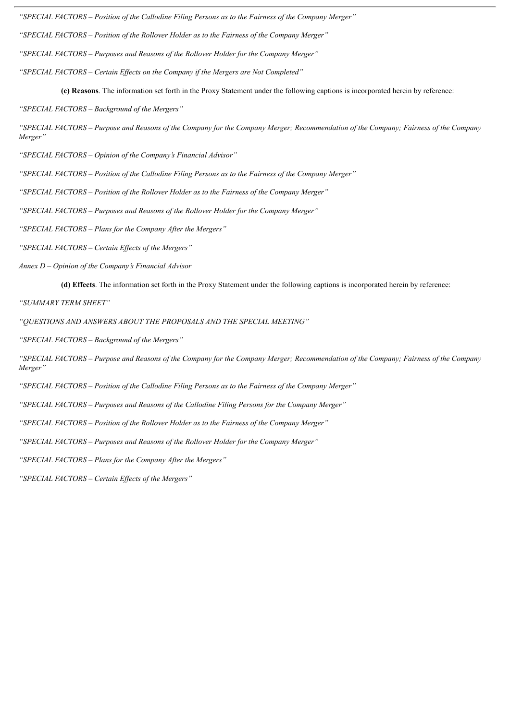*"SPECIAL FACTORS – Position of the Callodine Filing Persons as to the Fairness of the Company Merger"*

*"SPECIAL FACTORS – Position of the Rollover Holder as to the Fairness of the Company Merger"*

*"SPECIAL FACTORS – Purposes and Reasons of the Rollover Holder for the Company Merger"*

*"SPECIAL FACTORS – Certain Ef ects on the Company if the Mergers are Not Completed"*

**(c) Reasons**. The information set forth in the Proxy Statement under the following captions is incorporated herein by reference:

*"SPECIAL FACTORS – Background of the Mergers"*

"SPECIAL FACTORS – Purpose and Reasons of the Company for the Company Merger; Recommendation of the Company; Fairness of the Company *Merger"*

*"SPECIAL FACTORS – Opinion of the Company's Financial Advisor"*

*"SPECIAL FACTORS – Position of the Callodine Filing Persons as to the Fairness of the Company Merger"*

*"SPECIAL FACTORS – Position of the Rollover Holder as to the Fairness of the Company Merger"*

*"SPECIAL FACTORS – Purposes and Reasons of the Rollover Holder for the Company Merger"*

*"SPECIAL FACTORS – Plans for the Company After the Mergers"*

*"SPECIAL FACTORS – Certain Ef ects of the Mergers"*

*Annex D – Opinion of the Company's Financial Advisor*

**(d) Effects**. The information set forth in the Proxy Statement under the following captions is incorporated herein by reference:

*"SUMMARY TERM SHEET"*

*"QUESTIONS AND ANSWERS ABOUT THE PROPOSALS AND THE SPECIAL MEETING"*

*"SPECIAL FACTORS – Background of the Mergers"*

"SPECIAL FACTORS – Purpose and Reasons of the Company for the Company Merger; Recommendation of the Company; Fairness of the Company *Merger"*

*"SPECIAL FACTORS – Position of the Callodine Filing Persons as to the Fairness of the Company Merger"*

*"SPECIAL FACTORS – Purposes and Reasons of the Callodine Filing Persons for the Company Merger"*

*"SPECIAL FACTORS – Position of the Rollover Holder as to the Fairness of the Company Merger"*

*"SPECIAL FACTORS – Purposes and Reasons of the Rollover Holder for the Company Merger"*

*"SPECIAL FACTORS – Plans for the Company After the Mergers"*

*"SPECIAL FACTORS – Certain Ef ects of the Mergers"*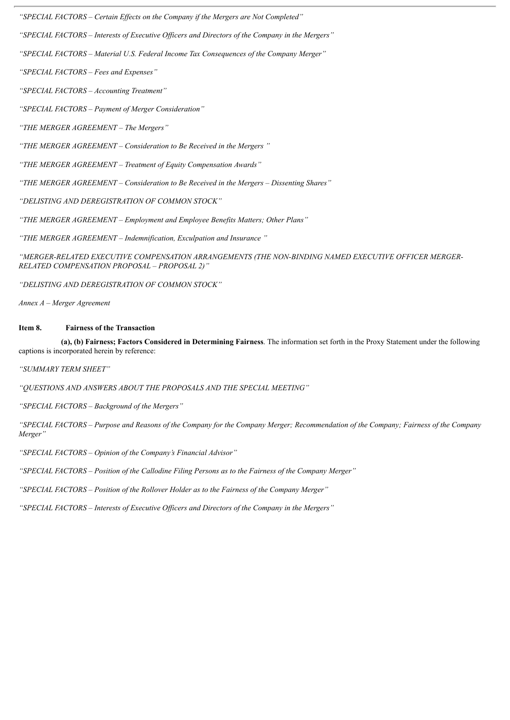*"SPECIAL FACTORS – Certain Ef ects on the Company if the Mergers are Not Completed"*

*"SPECIAL FACTORS – Interests of Executive Of icers and Directors of the Company in the Mergers"*

*"SPECIAL FACTORS – Material U.S. Federal Income Tax Consequences of the Company Merger"*

*"SPECIAL FACTORS – Fees and Expenses"*

*"SPECIAL FACTORS – Accounting Treatment"*

*"SPECIAL FACTORS – Payment of Merger Consideration"*

*"THE MERGER AGREEMENT – The Mergers"*

*"THE MERGER AGREEMENT – Consideration to Be Received in the Mergers "*

*"THE MERGER AGREEMENT – Treatment of Equity Compensation Awards"*

*"THE MERGER AGREEMENT – Consideration to Be Received in the Mergers – Dissenting Shares"*

*"DELISTING AND DEREGISTRATION OF COMMON STOCK"*

*"THE MERGER AGREEMENT – Employment and Employee Benefits Matters; Other Plans"*

*"THE MERGER AGREEMENT – Indemnification, Exculpation and Insurance "*

*"MERGER-RELATED EXECUTIVE COMPENSATION ARRANGEMENTS (THE NON-BINDING NAMED EXECUTIVE OFFICER MERGER-RELATED COMPENSATION PROPOSAL – PROPOSAL 2)"*

*"DELISTING AND DEREGISTRATION OF COMMON STOCK"*

*Annex A – Merger Agreement*

#### **Item 8. Fairness of the Transaction**

**(a), (b) Fairness; Factors Considered in Determining Fairness**. The information set forth in the Proxy Statement under the following captions is incorporated herein by reference:

*"SUMMARY TERM SHEET"*

*"QUESTIONS AND ANSWERS ABOUT THE PROPOSALS AND THE SPECIAL MEETING"*

*"SPECIAL FACTORS – Background of the Mergers"*

"SPECIAL FACTORS - Purpose and Reasons of the Company for the Company Merger; Recommendation of the Company; Fairness of the Company *Merger"*

*"SPECIAL FACTORS – Opinion of the Company's Financial Advisor"*

*"SPECIAL FACTORS – Position of the Callodine Filing Persons as to the Fairness of the Company Merger"*

*"SPECIAL FACTORS – Position of the Rollover Holder as to the Fairness of the Company Merger"*

*"SPECIAL FACTORS – Interests of Executive Of icers and Directors of the Company in the Mergers"*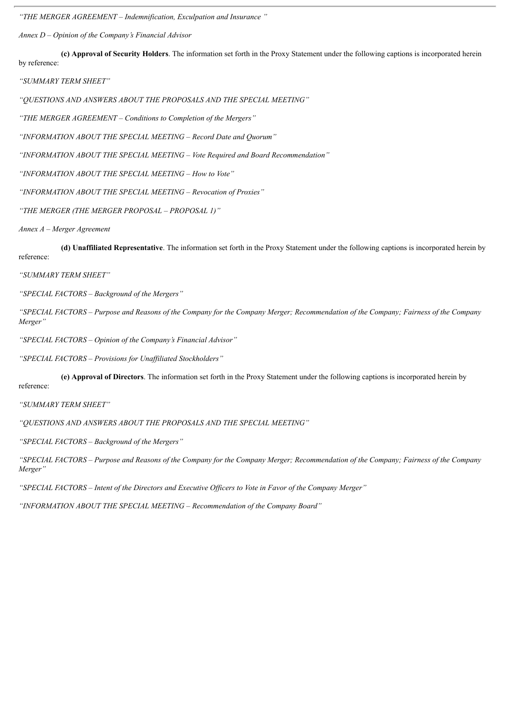*"THE MERGER AGREEMENT – Indemnification, Exculpation and Insurance "*

*Annex D – Opinion of the Company's Financial Advisor*

**(c) Approval of Security Holders**. The information set forth in the Proxy Statement under the following captions is incorporated herein by reference:

*"SUMMARY TERM SHEET"*

*"QUESTIONS AND ANSWERS ABOUT THE PROPOSALS AND THE SPECIAL MEETING"*

*"THE MERGER AGREEMENT – Conditions to Completion of the Mergers"*

*"INFORMATION ABOUT THE SPECIAL MEETING – Record Date and Quorum"*

*"INFORMATION ABOUT THE SPECIAL MEETING – Vote Required and Board Recommendation"*

*"INFORMATION ABOUT THE SPECIAL MEETING – How to Vote"*

*"INFORMATION ABOUT THE SPECIAL MEETING – Revocation of Proxies"*

*"THE MERGER (THE MERGER PROPOSAL – PROPOSAL 1)"*

*Annex A – Merger Agreement*

**(d) Unaffiliated Representative**. The information set forth in the Proxy Statement under the following captions is incorporated herein by reference:

*"SUMMARY TERM SHEET"*

*"SPECIAL FACTORS – Background of the Mergers"*

"SPECIAL FACTORS – Purpose and Reasons of the Company for the Company Merger; Recommendation of the Company; Fairness of the Company *Merger"*

*"SPECIAL FACTORS – Opinion of the Company's Financial Advisor"*

*"SPECIAL FACTORS – Provisions for Unaf iliated Stockholders"*

**(e) Approval of Directors**. The information set forth in the Proxy Statement under the following captions is incorporated herein by

reference:

*"SUMMARY TERM SHEET"*

*"QUESTIONS AND ANSWERS ABOUT THE PROPOSALS AND THE SPECIAL MEETING"*

*"SPECIAL FACTORS – Background of the Mergers"*

"SPECIAL FACTORS - Purpose and Reasons of the Company for the Company Merger; Recommendation of the Company; Fairness of the Company *Merger"*

"SPECIAL FACTORS - Intent of the Directors and Executive Officers to Vote in Favor of the Company Merger"

*"INFORMATION ABOUT THE SPECIAL MEETING – Recommendation of the Company Board"*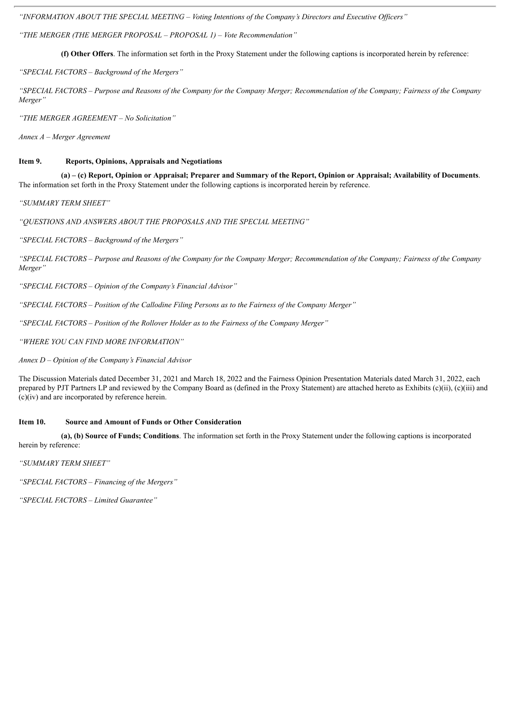*"INFORMATION ABOUT THE SPECIAL MEETING – Voting Intentions of the Company's Directors and Executive Of icers"*

*"THE MERGER (THE MERGER PROPOSAL – PROPOSAL 1) – Vote Recommendation"*

**(f) Other Offers**. The information set forth in the Proxy Statement under the following captions is incorporated herein by reference:

*"SPECIAL FACTORS – Background of the Mergers"*

"SPECIAL FACTORS – Purpose and Reasons of the Company for the Company Merger: Recommendation of the Company: Fairness of the Company *Merger"*

*"THE MERGER AGREEMENT – No Solicitation"*

*Annex A – Merger Agreement*

#### **Item 9. Reports, Opinions, Appraisals and Negotiations**

(a) – (c) Report, Opinion or Appraisal; Preparer and Summary of the Report, Opinion or Appraisal; Availability of Documents. The information set forth in the Proxy Statement under the following captions is incorporated herein by reference.

*"SUMMARY TERM SHEET"*

*"QUESTIONS AND ANSWERS ABOUT THE PROPOSALS AND THE SPECIAL MEETING"*

*"SPECIAL FACTORS – Background of the Mergers"*

"SPECIAL FACTORS – Purpose and Reasons of the Company for the Company Merger: Recommendation of the Company: Fairness of the Company *Merger"*

*"SPECIAL FACTORS – Opinion of the Company's Financial Advisor"*

*"SPECIAL FACTORS – Position of the Callodine Filing Persons as to the Fairness of the Company Merger"*

*"SPECIAL FACTORS – Position of the Rollover Holder as to the Fairness of the Company Merger"*

*"WHERE YOU CAN FIND MORE INFORMATION"*

*Annex D – Opinion of the Company's Financial Advisor*

The Discussion Materials dated December 31, 2021 and March 18, 2022 and the Fairness Opinion Presentation Materials dated March 31, 2022, each prepared by PJT Partners LP and reviewed by the Company Board as (defined in the Proxy Statement) are attached hereto as Exhibits (c)(ii), (c)(iii) and  $(c)(iv)$  and are incorporated by reference herein.

#### **Item 10. Source and Amount of Funds or Other Consideration**

**(a), (b) Source of Funds; Conditions**. The information set forth in the Proxy Statement under the following captions is incorporated herein by reference:

*"SUMMARY TERM SHEET"*

*"SPECIAL FACTORS – Financing of the Mergers"*

*"SPECIAL FACTORS – Limited Guarantee"*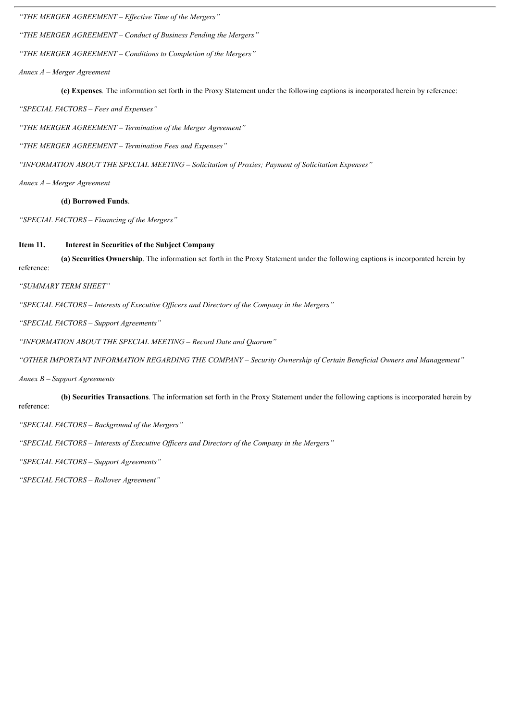*"THE MERGER AGREEMENT – Ef ective Time of the Mergers"*

*"THE MERGER AGREEMENT – Conduct of Business Pending the Mergers"*

*"THE MERGER AGREEMENT – Conditions to Completion of the Mergers"*

*Annex A – Merger Agreement*

**(c) Expenses***.* The information set forth in the Proxy Statement under the following captions is incorporated herein by reference:

*"SPECIAL FACTORS – Fees and Expenses"*

*"THE MERGER AGREEMENT – Termination of the Merger Agreement"*

*"THE MERGER AGREEMENT – Termination Fees and Expenses"*

*"INFORMATION ABOUT THE SPECIAL MEETING – Solicitation of Proxies; Payment of Solicitation Expenses"*

*Annex A – Merger Agreement*

**(d) Borrowed Funds**.

*"SPECIAL FACTORS – Financing of the Mergers"*

#### **Item 11. Interest in Securities of the Subject Company**

**(a) Securities Ownership**. The information set forth in the Proxy Statement under the following captions is incorporated herein by reference:

*"SUMMARY TERM SHEET"*

*"SPECIAL FACTORS – Interests of Executive Of icers and Directors of the Company in the Mergers"*

*"SPECIAL FACTORS – Support Agreements"*

*"INFORMATION ABOUT THE SPECIAL MEETING – Record Date and Quorum"*

*"OTHER IMPORTANT INFORMATION REGARDING THE COMPANY – Security Ownership of Certain Beneficial Owners and Management"*

*Annex B – Support Agreements*

**(b) Securities Transactions**. The information set forth in the Proxy Statement under the following captions is incorporated herein by reference:

*"SPECIAL FACTORS – Background of the Mergers"*

*"SPECIAL FACTORS – Interests of Executive Of icers and Directors of the Company in the Mergers"*

*"SPECIAL FACTORS – Support Agreements"*

*"SPECIAL FACTORS – Rollover Agreement"*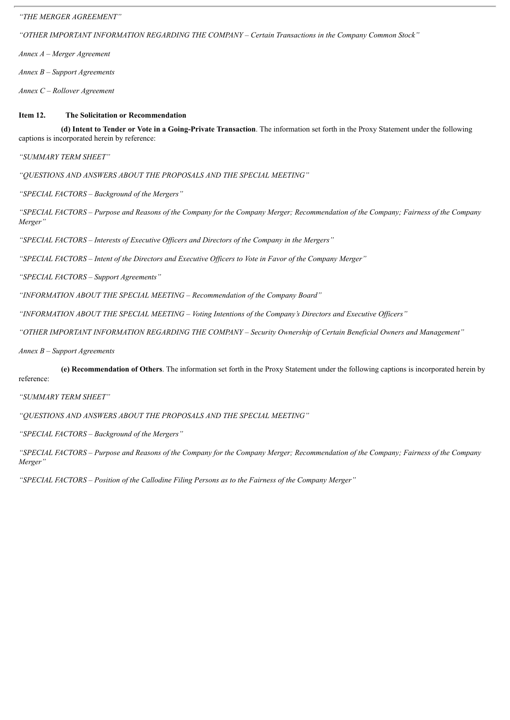*"THE MERGER AGREEMENT"*

*"OTHER IMPORTANT INFORMATION REGARDING THE COMPANY – Certain Transactions in the Company Common Stock"*

*Annex A – Merger Agreement*

*Annex B – Support Agreements*

*Annex C – Rollover Agreement*

#### **Item 12. The Solicitation or Recommendation**

**(d) Intent to Tender or Vote in a Going-Private Transaction**. The information set forth in the Proxy Statement under the following captions is incorporated herein by reference:

*"SUMMARY TERM SHEET"*

*"QUESTIONS AND ANSWERS ABOUT THE PROPOSALS AND THE SPECIAL MEETING"*

*"SPECIAL FACTORS – Background of the Mergers"*

"SPECIAL FACTORS – Purpose and Reasons of the Company for the Company Merger; Recommendation of the Company; Fairness of the Company *Merger"*

*"SPECIAL FACTORS – Interests of Executive Of icers and Directors of the Company in the Mergers"*

"SPECIAL FACTORS - Intent of the Directors and Executive Officers to Vote in Favor of the Company Merger"

*"SPECIAL FACTORS – Support Agreements"*

*"INFORMATION ABOUT THE SPECIAL MEETING – Recommendation of the Company Board"*

*"INFORMATION ABOUT THE SPECIAL MEETING – Voting Intentions of the Company's Directors and Executive Of icers"*

*"OTHER IMPORTANT INFORMATION REGARDING THE COMPANY – Security Ownership of Certain Beneficial Owners and Management"*

*Annex B – Support Agreements*

**(e) Recommendation of Others**. The information set forth in the Proxy Statement under the following captions is incorporated herein by reference:

*"SUMMARY TERM SHEET"*

*"QUESTIONS AND ANSWERS ABOUT THE PROPOSALS AND THE SPECIAL MEETING"*

*"SPECIAL FACTORS – Background of the Mergers"*

"SPECIAL FACTORS - Purpose and Reasons of the Company for the Company Merger; Recommendation of the Company; Fairness of the Company *Merger"*

*"SPECIAL FACTORS – Position of the Callodine Filing Persons as to the Fairness of the Company Merger"*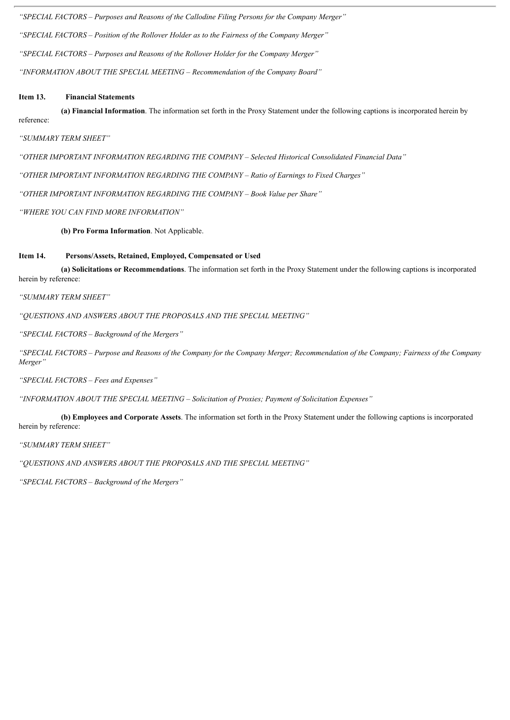*"SPECIAL FACTORS – Purposes and Reasons of the Callodine Filing Persons for the Company Merger" "SPECIAL FACTORS – Position of the Rollover Holder as to the Fairness of the Company Merger" "SPECIAL FACTORS – Purposes and Reasons of the Rollover Holder for the Company Merger" "INFORMATION ABOUT THE SPECIAL MEETING – Recommendation of the Company Board"*

#### **Item 13. Financial Statements**

**(a) Financial Information**. The information set forth in the Proxy Statement under the following captions is incorporated herein by reference:

*"SUMMARY TERM SHEET"*

*"OTHER IMPORTANT INFORMATION REGARDING THE COMPANY – Selected Historical Consolidated Financial Data"*

*"OTHER IMPORTANT INFORMATION REGARDING THE COMPANY – Ratio of Earnings to Fixed Charges"*

*"OTHER IMPORTANT INFORMATION REGARDING THE COMPANY – Book Value per Share"*

*"WHERE YOU CAN FIND MORE INFORMATION"*

**(b) Pro Forma Information**. Not Applicable.

#### **Item 14. Persons/Assets, Retained, Employed, Compensated or Used**

**(a) Solicitations or Recommendations**. The information set forth in the Proxy Statement under the following captions is incorporated herein by reference:

*"SUMMARY TERM SHEET"*

*"QUESTIONS AND ANSWERS ABOUT THE PROPOSALS AND THE SPECIAL MEETING"*

*"SPECIAL FACTORS – Background of the Mergers"*

"SPECIAL FACTORS – Purpose and Reasons of the Company for the Company Merger; Recommendation of the Company; Fairness of the Company *Merger"*

*"SPECIAL FACTORS – Fees and Expenses"*

*"INFORMATION ABOUT THE SPECIAL MEETING – Solicitation of Proxies; Payment of Solicitation Expenses"*

**(b) Employees and Corporate Assets**. The information set forth in the Proxy Statement under the following captions is incorporated herein by reference:

*"SUMMARY TERM SHEET"*

*"QUESTIONS AND ANSWERS ABOUT THE PROPOSALS AND THE SPECIAL MEETING"*

*"SPECIAL FACTORS – Background of the Mergers"*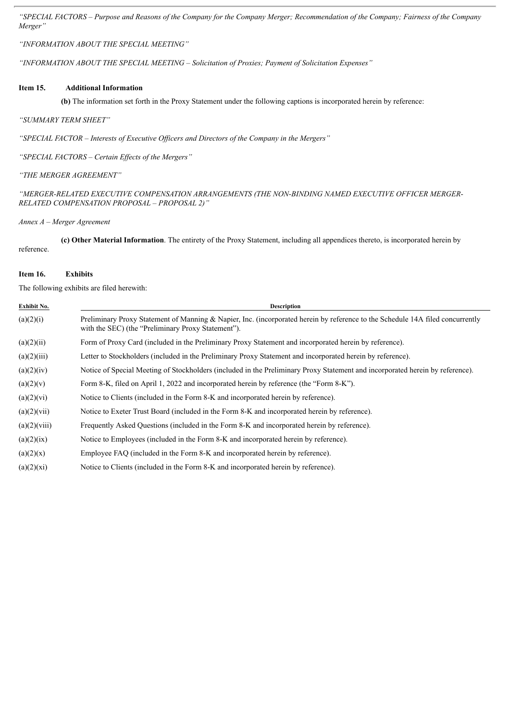"SPECIAL FACTORS - Purpose and Reasons of the Company for the Company Merger; Recommendation of the Company; Fairness of the Company *Merger"*

*"INFORMATION ABOUT THE SPECIAL MEETING"*

*"INFORMATION ABOUT THE SPECIAL MEETING – Solicitation of Proxies; Payment of Solicitation Expenses"*

#### **Item 15. Additional Information**

**(b)** The information set forth in the Proxy Statement under the following captions is incorporated herein by reference:

#### *"SUMMARY TERM SHEET"*

*"SPECIAL FACTOR – Interests of Executive Of icers and Directors of the Company in the Mergers"*

*"SPECIAL FACTORS – Certain Ef ects of the Mergers"*

*"THE MERGER AGREEMENT"*

*"MERGER-RELATED EXECUTIVE COMPENSATION ARRANGEMENTS (THE NON-BINDING NAMED EXECUTIVE OFFICER MERGER-RELATED COMPENSATION PROPOSAL – PROPOSAL 2)"*

*Annex A – Merger Agreement*

**(c) Other Material Information**. The entirety of the Proxy Statement, including all appendices thereto, is incorporated herein by reference.

#### **Item 16. Exhibits**

The following exhibits are filed herewith:

| Exhibit No.  | <b>Description</b>                                                                                                                                                                   |
|--------------|--------------------------------------------------------------------------------------------------------------------------------------------------------------------------------------|
| (a)(2)(i)    | Preliminary Proxy Statement of Manning & Napier, Inc. (incorporated herein by reference to the Schedule 14A filed concurrently<br>with the SEC) (the "Preliminary Proxy Statement"). |
| (a)(2)(ii)   | Form of Proxy Card (included in the Preliminary Proxy Statement and incorporated herein by reference).                                                                               |
| (a)(2)(iii)  | Letter to Stockholders (included in the Preliminary Proxy Statement and incorporated herein by reference).                                                                           |
| (a)(2)(iv)   | Notice of Special Meeting of Stockholders (included in the Preliminary Proxy Statement and incorporated herein by reference).                                                        |
| (a)(2)(v)    | Form 8-K, filed on April 1, 2022 and incorporated herein by reference (the "Form 8-K").                                                                                              |
| (a)(2)(vi)   | Notice to Clients (included in the Form 8-K and incorporated herein by reference).                                                                                                   |
| (a)(2)(vii)  | Notice to Exeter Trust Board (included in the Form 8-K and incorporated herein by reference).                                                                                        |
| (a)(2)(viii) | Frequently Asked Questions (included in the Form 8-K and incorporated herein by reference).                                                                                          |
| (a)(2)(ix)   | Notice to Employees (included in the Form 8-K and incorporated herein by reference).                                                                                                 |
| (a)(2)(x)    | Employee FAQ (included in the Form 8-K and incorporated herein by reference).                                                                                                        |
| (a)(2)(xi)   | Notice to Clients (included in the Form 8-K and incorporated herein by reference).                                                                                                   |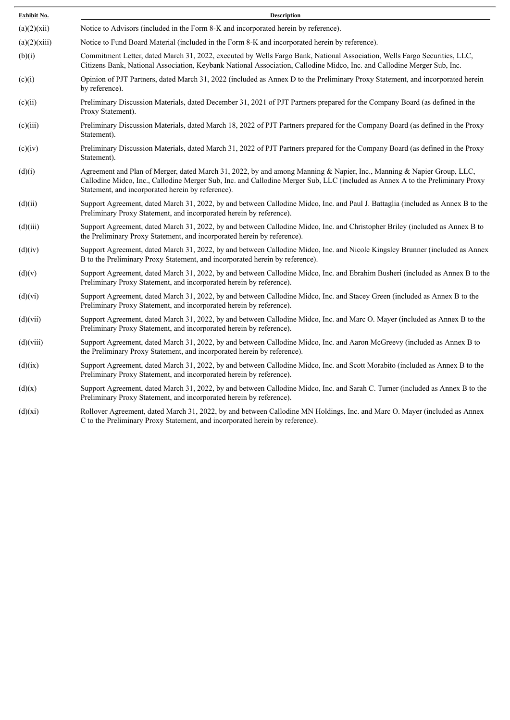| Exhibit No.  | <b>Description</b>                                                                                                                                                                                                                                                                                          |
|--------------|-------------------------------------------------------------------------------------------------------------------------------------------------------------------------------------------------------------------------------------------------------------------------------------------------------------|
| (a)(2)(xii)  | Notice to Advisors (included in the Form 8-K and incorporated herein by reference).                                                                                                                                                                                                                         |
| (a)(2)(xiii) | Notice to Fund Board Material (included in the Form 8-K and incorporated herein by reference).                                                                                                                                                                                                              |
| (b)(i)       | Commitment Letter, dated March 31, 2022, executed by Wells Fargo Bank, National Association, Wells Fargo Securities, LLC,<br>Citizens Bank, National Association, Keybank National Association, Callodine Midco, Inc. and Callodine Merger Sub, Inc.                                                        |
| (c)(i)       | Opinion of PJT Partners, dated March 31, 2022 (included as Annex D to the Preliminary Proxy Statement, and incorporated herein<br>by reference).                                                                                                                                                            |
| (c)(ii)      | Preliminary Discussion Materials, dated December 31, 2021 of PJT Partners prepared for the Company Board (as defined in the<br>Proxy Statement).                                                                                                                                                            |
| (c)(iii)     | Preliminary Discussion Materials, dated March 18, 2022 of PJT Partners prepared for the Company Board (as defined in the Proxy<br>Statement).                                                                                                                                                               |
| (c)(iv)      | Preliminary Discussion Materials, dated March 31, 2022 of PJT Partners prepared for the Company Board (as defined in the Proxy<br>Statement).                                                                                                                                                               |
| (d)(i)       | Agreement and Plan of Merger, dated March 31, 2022, by and among Manning & Napier, Inc., Manning & Napier Group, LLC,<br>Callodine Midco, Inc., Callodine Merger Sub, Inc. and Callodine Merger Sub, LLC (included as Annex A to the Preliminary Proxy<br>Statement, and incorporated herein by reference). |
| (d)(ii)      | Support Agreement, dated March 31, 2022, by and between Callodine Midco, Inc. and Paul J. Battaglia (included as Annex B to the<br>Preliminary Proxy Statement, and incorporated herein by reference).                                                                                                      |
| (d)(iii)     | Support Agreement, dated March 31, 2022, by and between Callodine Midco, Inc. and Christopher Briley (included as Annex B to<br>the Preliminary Proxy Statement, and incorporated herein by reference).                                                                                                     |
| (d)(iv)      | Support Agreement, dated March 31, 2022, by and between Callodine Midco, Inc. and Nicole Kingsley Brunner (included as Annex<br>B to the Preliminary Proxy Statement, and incorporated herein by reference).                                                                                                |
| (d)(v)       | Support Agreement, dated March 31, 2022, by and between Callodine Midco, Inc. and Ebrahim Busheri (included as Annex B to the<br>Preliminary Proxy Statement, and incorporated herein by reference).                                                                                                        |
| (d)(vi)      | Support Agreement, dated March 31, 2022, by and between Callodine Midco, Inc. and Stacey Green (included as Annex B to the<br>Preliminary Proxy Statement, and incorporated herein by reference).                                                                                                           |
| (d)(vii)     | Support Agreement, dated March 31, 2022, by and between Callodine Midco, Inc. and Marc O. Mayer (included as Annex B to the<br>Preliminary Proxy Statement, and incorporated herein by reference).                                                                                                          |
| (d)(viii)    | Support Agreement, dated March 31, 2022, by and between Callodine Midco, Inc. and Aaron McGreevy (included as Annex B to<br>the Preliminary Proxy Statement, and incorporated herein by reference).                                                                                                         |
| (d)(ix)      | Support Agreement, dated March 31, 2022, by and between Callodine Midco, Inc. and Scott Morabito (included as Annex B to the<br>Preliminary Proxy Statement, and incorporated herein by reference).                                                                                                         |
| (d)(x)       | Support Agreement, dated March 31, 2022, by and between Callodine Midco, Inc. and Sarah C. Turner (included as Annex B to the<br>Preliminary Proxy Statement, and incorporated herein by reference).                                                                                                        |
| (d)(xi)      | Rollover Agreement, dated March 31, 2022, by and between Callodine MN Holdings, Inc. and Marc O. Mayer (included as Annex                                                                                                                                                                                   |

C to the Preliminary Proxy Statement, and incorporated herein by reference).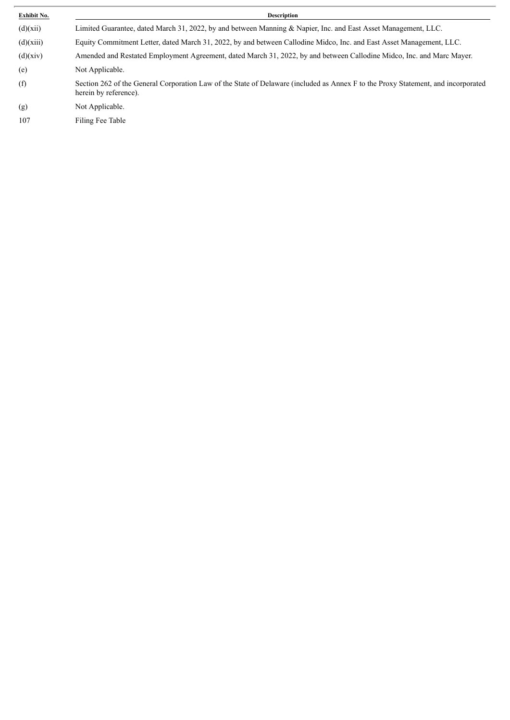| Exhibit No. | Description                                                                                                                                                |
|-------------|------------------------------------------------------------------------------------------------------------------------------------------------------------|
| (d)(xii)    | Limited Guarantee, dated March 31, 2022, by and between Manning & Napier, Inc. and East Asset Management, LLC.                                             |
| (d)(xiii)   | Equity Commitment Letter, dated March 31, 2022, by and between Callodine Midco, Inc. and East Asset Management, LLC.                                       |
| (d)(xiv)    | Amended and Restated Employment Agreement, dated March 31, 2022, by and between Callodine Midco, Inc. and Marc Mayer.                                      |
| (e)         | Not Applicable.                                                                                                                                            |
| (f)         | Section 262 of the General Corporation Law of the State of Delaware (included as Annex F to the Proxy Statement, and incorporated<br>herein by reference). |
| (g)         | Not Applicable.                                                                                                                                            |
| 107         | Filing Fee Table                                                                                                                                           |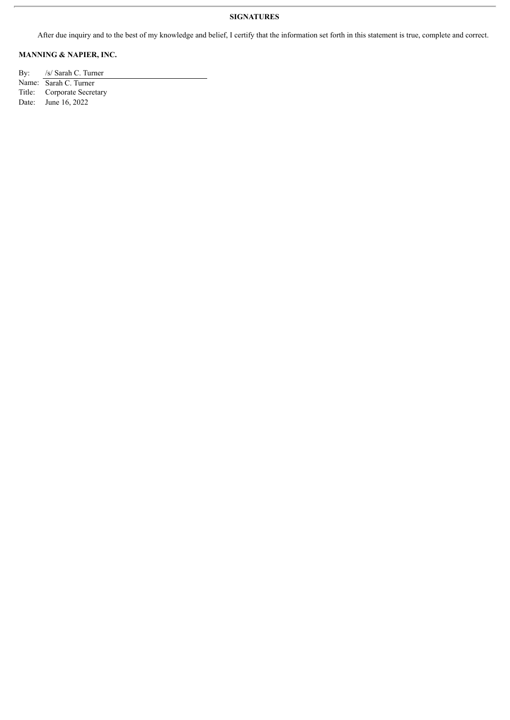#### **SIGNATURES**

After due inquiry and to the best of my knowledge and belief, I certify that the information set forth in this statement is true, complete and correct.

### **MANNING & NAPIER, INC.**

By: /s/ Sarah C. Turner Name: Sarah C. Turner<br>Title: Corporate Secret Title: Corporate Secretary<br>Date: June 16, 2022 June 16, 2022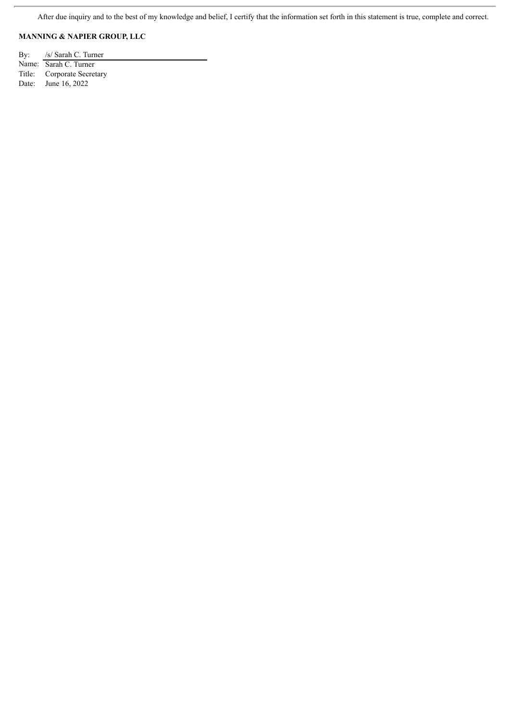### **MANNING & NAPIER GROUP, LLC**

By: /s/ Sarah C. Turner Name: Sarah C. Turner Title: Corporate Secretary Date: June 16, 2022

ł.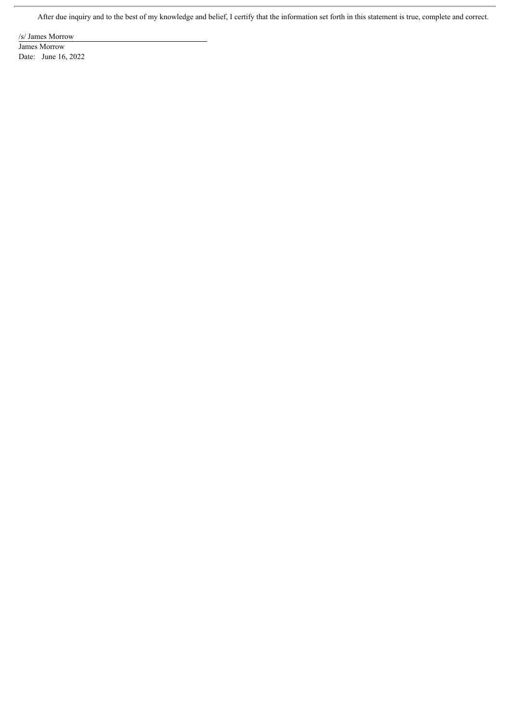/s/ James Morrow

r.

James Morrow Date: June 16, 2022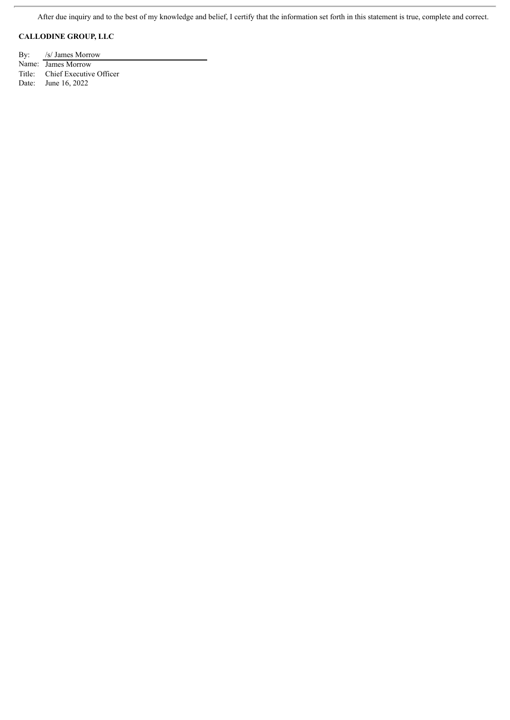### **CALLODINE GROUP, LLC**

ŗ.

By: /s/ James Morrow Name: James Morrow Title: Chief Executive Officer Date: June 16, 2022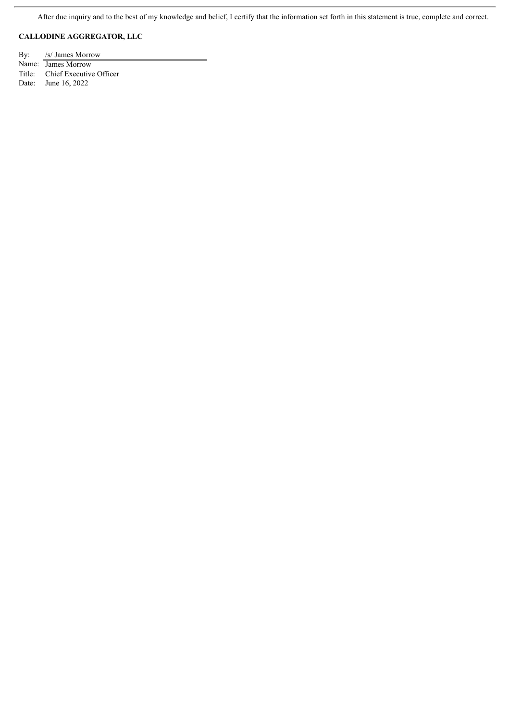### **CALLODINE AGGREGATOR, LLC**

By: /s/ James Morrow Name: James Morrow Title: Chief Executive Officer Date: June 16, 2022

 $\overline{a}$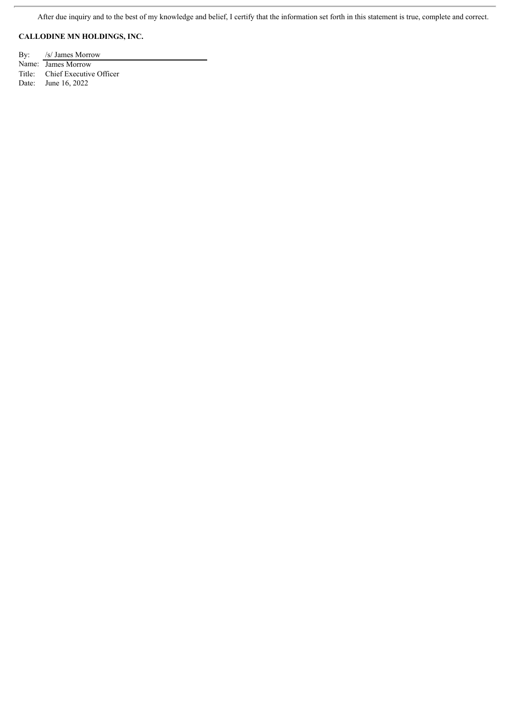### **CALLODINE MN HOLDINGS, INC.**

By: /s/ James Morrow Name: James Morrow Title: Chief Executive Officer Date: June 16, 2022

 $\overline{a}$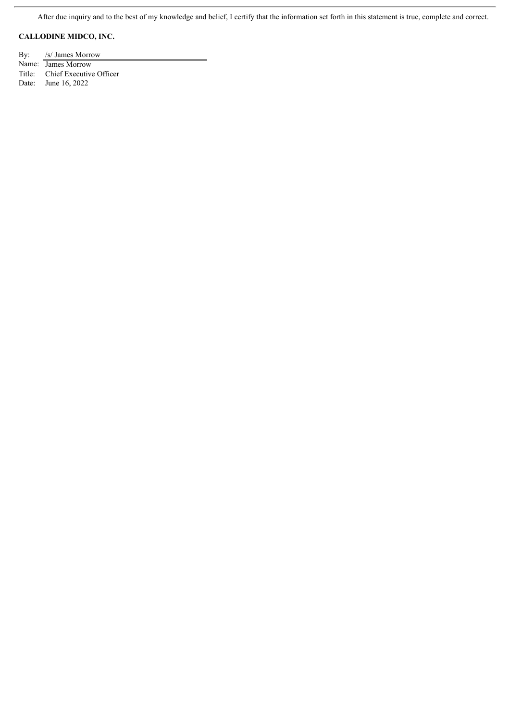### **CALLODINE MIDCO, INC.**

j.

By: /s/ James Morrow Name: James Morrow Title: Chief Executive Officer Date: June 16, 2022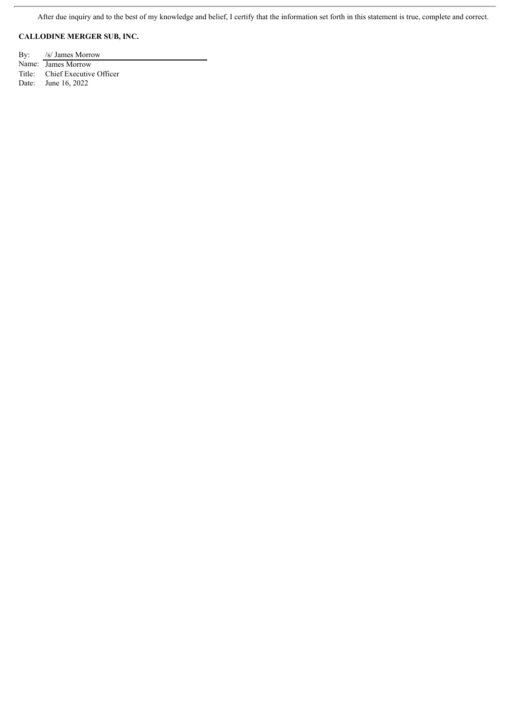### **CALLODINE MERGER SUB, INC.**

By: /s/ James Morrow Name: James Morrow Title: Chief Executive Officer Date: June 16, 2022

ł.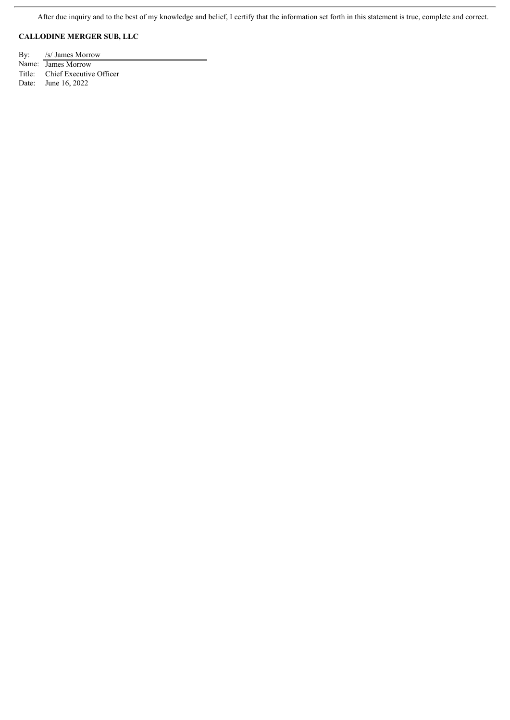### **CALLODINE MERGER SUB, LLC**

By: /s/ James Morrow Name: James Morrow Title: Chief Executive Officer Date: June 16, 2022

ł.